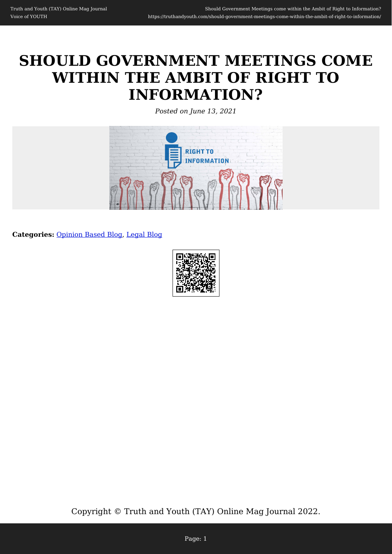# **SHOULD GOVERNMENT MEETINGS COME WITHIN THE AMBIT OF RIGHT TO INFORMATION?**

*Posted on June 13, 2021*



**Categories:** [Opinion Based Blog,](https://truthandyouth.com/category/opinion-based-blog/) [Legal Blog](https://truthandyouth.com/category/legal-blog/)

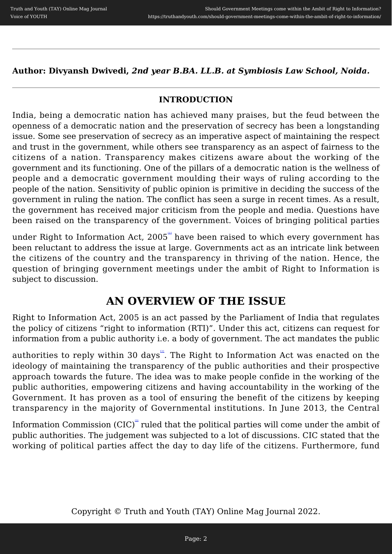**Author: Divyansh Dwivedi,** *2nd year B.BA. LL.B. at Symbiosis Law School, Noida.*

### **INTRODUCTION**

India, being a democratic nation has achieved many praises, but the feud between the openness of a democratic nation and the preservation of secrecy has been a longstanding issue. Some see preservation of secrecy as an imperative aspect of maintaining the respect and trust in the government, while others see transparency as an aspect of fairness to the citizens of a nation. Transparency makes citizens aware about the working of the government and its functioning. One of the pillars of a democratic nation is the wellness of people and a democratic government moulding their ways of ruling according to the people of the nation. Sensitivity of public opinion is primitive in deciding the success of the government in ruling the nation. The conflict has seen a surge in recent times. As a result, the government has received major criticism from the people and media. Questions have been raised on the transparency of the government. Voices of bringing political parties

under Right to Information Act, 2005<sup>th</sup> have been raised to which every government has been reluctant to address the issue at large. Governments act as an intricate link between the citizens of the country and the transparency in thriving of the nation. Hence, the question of bringing government meetings under the ambit of Right to Information is subject to discussion.

## **AN OVERVIEW OF THE ISSUE**

Right to Information Act, 2005 is an act passed by the Parliament of India that regulates the policy of citizens "right to information (RTI)". Under this act, citizens can request for information from a public authority i.e. a body of government. The act mandates the public

authorities to reply within 30 days<sup> $\Omega$ </sup>. The Right to Information Act was enacted on the ideology of maintaining the transparency of the public authorities and their prospective approach towards the future. The idea was to make people confide in the working of the public authorities, empowering citizens and having accountability in the working of the Government. It has proven as a tool of ensuring the benefit of the citizens by keeping transparency in the majority of Governmental institutions. In June 2013, the Central

Information Commission  $(CIC)^{\omega}$  ruled that the political parties will come under the ambit of public authorities. The judgement was subjected to a lot of discussions. CIC stated that the working of political parties affect the day to day life of the citizens. Furthermore, fund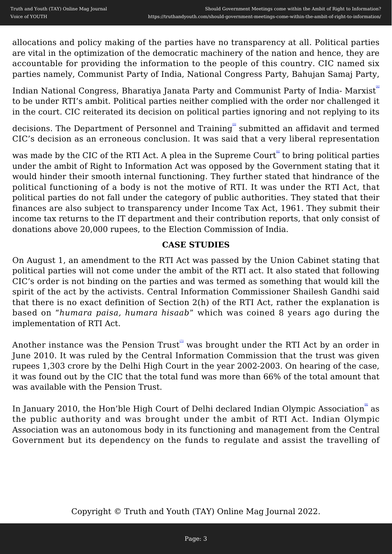allocations and policy making of the parties have no transparency at all. Political parties are vital in the optimization of the democratic machinery of the nation and hence, they are accountable for providing the information to the people of this country. CIC named six parties namely, Communist Party of India, National Congress Party, Bahujan Samaj Party,

Indian National Congress, Bharatiya Janata Party and Communist Party of India- Marxist" to be under RTI's ambit. Political parties neither complied with the order nor challenged it in the court. CIC reiterated its decision on political parties ignoring and not replying to its

decisions. The Department of Personnel and Training submitted an affidavit and termed CIC's decision as an erroneous conclusion. It was said that a very liberal representation

was made by the CIC of the RTI Act. A plea in the Supreme Court to bring political parties under the ambit of Right to Information Act was opposed by the Government stating that it would hinder their smooth internal functioning. They further stated that hindrance of the political functioning of a body is not the motive of RTI. It was under the RTI Act, that political parties do not fall under the category of public authorities. They stated that their finances are also subject to transparency under Income Tax Act, 1961. They submit their income tax returns to the IT department and their contribution reports, that only consist of donations above 20,000 rupees, to the Election Commission of India.

#### **CASE STUDIES**

On August 1, an amendment to the RTI Act was passed by the Union Cabinet stating that political parties will not come under the ambit of the RTI act. It also stated that following CIC's order is not binding on the parties and was termed as something that would kill the spirit of the act by the activists. Central Information Commissioner Shailesh Gandhi said that there is no exact definition of Section 2(h) of the RTI Act, rather the explanation is based on "*humara paisa, humara hisaab*" which was coined 8 years ago during the implementation of RTI Act.

Another instance was the Pension  $\text{Trust}^{\mathbb{H}}$  was brought under the RTI Act by an order in June 2010. It was ruled by the Central Information Commission that the trust was given rupees 1,303 crore by the Delhi High Court in the year 2002-2003. On hearing of the case, it was found out by the CIC that the total fund was more than 66% of the total amount that was available with the Pension Trust.

In January 2010, the Hon'ble High Court of Delhi declared Indian Olympic Association as the public authority and was brought under the ambit of RTI Act. Indian Olympic Association was an autonomous body in its functioning and management from the Central Government but its dependency on the funds to regulate and assist the travelling of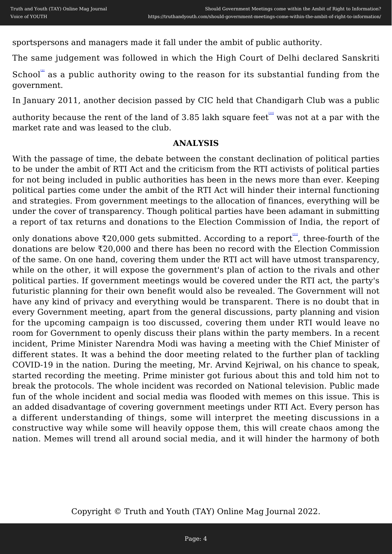sportspersons and managers made it fall under the ambit of public authority.

The same judgement was followed in which the High Court of Delhi declared Sanskriti

School as a public authority owing to the reason for its substantial funding from the government.

In January 2011, another decision passed by CIC held that Chandigarh Club was a public

authority because the rent of the land of 3.85 lakh square feet  $\mathbb{I}^{\mathbb{I}^{\mathbb{I}}}$  was not at a par with the market rate and was leased to the club.

#### **ANALYSIS**

With the passage of time, the debate between the constant declination of political parties to be under the ambit of RTI Act and the criticism from the RTI activists of political parties for not being included in public authorities has been in the news more than ever. Keeping political parties come under the ambit of the RTI Act will hinder their internal functioning and strategies. From government meetings to the allocation of finances, everything will be under the cover of transparency. Though political parties have been adamant in submitting a report of tax returns and donations to the Election Commission of India, the report of

only donations above ₹20,000 gets submitted. According to a report<sup>th</sup>, three-fourth of the donations are below ₹20,000 and there has been no record with the Election Commission of the same. On one hand, covering them under the RTI act will have utmost transparency, while on the other, it will expose the government's plan of action to the rivals and other political parties. If government meetings would be covered under the RTI act, the party's futuristic planning for their own benefit would also be revealed. The Government will not have any kind of privacy and everything would be transparent. There is no doubt that in every Government meeting, apart from the general discussions, party planning and vision for the upcoming campaign is too discussed, covering them under RTI would leave no room for Government to openly discuss their plans within the party members. In a recent incident, Prime Minister Narendra Modi was having a meeting with the Chief Minister of different states. It was a behind the door meeting related to the further plan of tackling COVID-19 in the nation. During the meeting, Mr. Arvind Kejriwal, on his chance to speak, started recording the meeting. Prime minister got furious about this and told him not to break the protocols. The whole incident was recorded on National television. Public made fun of the whole incident and social media was flooded with memes on this issue. This is an added disadvantage of covering government meetings under RTI Act. Every person has a different understanding of things, some will interpret the meeting discussions in a constructive way while some will heavily oppose them, this will create chaos among the nation. Memes will trend all around social media, and it will hinder the harmony of both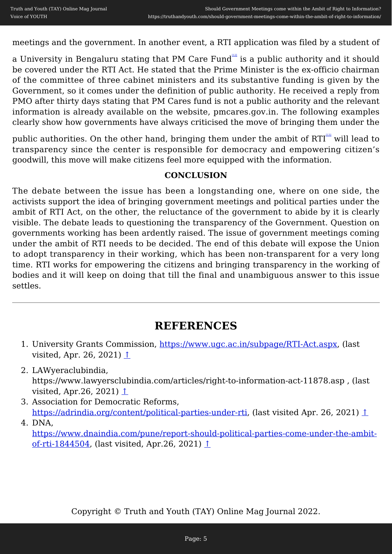meetings and the government. In another event, a RTI application was filed by a student of

a University in Bengaluru stating that PM Care Fund<sup>121</sup> is a public authority and it should be covered under the RTI Act. He stated that the Prime Minister is the ex-officio chairman of the committee of three cabinet ministers and its substantive funding is given by the Government, so it comes under the definition of public authority. He received a reply from PMO after thirty days stating that PM Cares fund is not a public authority and the relevant information is already available on the website, pmcares.gov.in. The following examples clearly show how governments have always criticised the move of bringing them under the

public authorities. On the other hand, bringing them under the ambit of RTI will lead to transparency since the center is responsible for democracy and empowering citizen's goodwill, this move will make citizens feel more equipped with the information.

#### **CONCLUSION**

The debate between the issue has been a longstanding one, where on one side, the activists support the idea of bringing government meetings and political parties under the ambit of RTI Act, on the other, the reluctance of the government to abide by it is clearly visible. The debate leads to questioning the transparency of the Government. Question on governments working has been ardently raised. The issue of government meetings coming under the ambit of RTI needs to be decided. The end of this debate will expose the Union to adopt transparency in their working, which has been non-transparent for a very long time. RTI works for empowering the citizens and bringing transparency in the working of bodies and it will keep on doing that till the final and unambiguous answer to this issue settles.

## **REFERENCES**

- 1. University Grants Commission,<https://www.ugc.ac.in/subpage/RTI-Act.aspx>, (last visited, Apr. 26, 2021)  $\uparrow$
- 2. LAWyeraclubindia, https://www.lawyersclubindia.com/articles/right-to-information-act-11878.asp , (last visited, Apr.26, 2021) [↑](#page--1-0)
- 3. Association for Democratic Reforms, [https://adrindia.org/content/political-parties-under-rti,](https://adrindia.org/content/political-parties-under-rti) (last visited Apr. 26, 2021) [↑](#page--1-0)

4. DNA, [https://www.dnaindia.com/pune/report-should-political-parties-come-under-the-ambit](https://www.dnaindia.com/pune/report-should-political-parties-come-under-the-ambit-of-rti-1844504)[of-rti-1844504](https://www.dnaindia.com/pune/report-should-political-parties-come-under-the-ambit-of-rti-1844504), (last visited, Apr.26, 2021) [↑](#page--1-0)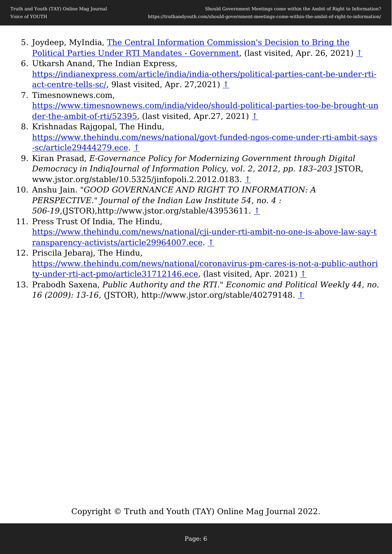- 5. Joydeep, MyIndia, [The Central Information Commission's Decision to Bring the](https://www.mapsofindia.com/my-india/politics/the-central-information-commissions-decision-to-bring-the-political-parties-under-rti-mandates) [Political Parties Under RTI Mandates - Government](https://www.mapsofindia.com/my-india/politics/the-central-information-commissions-decision-to-bring-the-political-parties-under-rti-mandates), (last visited, Apr. 26, 2021) [↑](#page--1-0)
- 6. Utkarsh Anand, The Indian Express, [https://indianexpress.com/article/india/india-others/political-parties-cant-be-under-rti](https://indianexpress.com/article/india/india-others/political-parties-cant-be-under-rti-act-centre-tells-sc/)[act-centre-tells-sc/,](https://indianexpress.com/article/india/india-others/political-parties-cant-be-under-rti-act-centre-tells-sc/) 9last visited, Apr. 27,2021) [↑](#page--1-0)
- 7. Timesnownews.com, [https://www.timesnownews.com/india/video/should-political-parties-too-be-brought-un](https://www.timesnownews.com/india/video/should-political-parties-too-be-brought-under-the-ambit-of-rti/52395) [der-the-ambit-of-rti/52395](https://www.timesnownews.com/india/video/should-political-parties-too-be-brought-under-the-ambit-of-rti/52395), (last visited, Apr.27, 2021)  $\uparrow$
- 8. Krishnadas Rajgopal, The Hindu, [https://www.thehindu.com/news/national/govt-funded-ngos-come-under-rti-ambit-says](https://www.thehindu.com/news/national/govt-funded-ngos-come-under-rti-ambit-says-sc/article29444279.ece) [-sc/article29444279.ece.](https://www.thehindu.com/news/national/govt-funded-ngos-come-under-rti-ambit-says-sc/article29444279.ece) [↑](#page--1-0)
- 9. Kiran Prasad, *E-Governance Policy for Modernizing Government through Digital Democracy in IndiaJournal of Information Policy, vol. 2, 2012, pp. 183–203* JSTOR, www.jstor.org/stable/10.5325/jinfopoli.2.2012.0183. [↑](#page--1-0)
- 10. Anshu Jain. *"GOOD GOVERNANCE AND RIGHT TO INFORMATION: A PERSPECTIVE." Journal of the Indian Law Institute 54, no. 4 : 506-19*,(JSTOR),http://www.jstor.org/stable/43953611. [↑](#page--1-0)
- 11. Press Trust Of India, The Hindu, [https://www.thehindu.com/news/national/cji-under-rti-ambit-no-one-is-above-law-say-t](https://www.thehindu.com/news/national/cji-under-rti-ambit-no-one-is-above-law-say-transparency-activists/article29964007.ece) [ransparency-activists/article29964007.ece.](https://www.thehindu.com/news/national/cji-under-rti-ambit-no-one-is-above-law-say-transparency-activists/article29964007.ece) [↑](#page--1-0)
- 12. Priscila Jebaraj, The Hindu, [https://www.thehindu.com/news/national/coronavirus-pm-cares-is-not-a-public-authori](https://www.thehindu.com/news/national/coronavirus-pm-cares-is-not-a-public-authority-under-rti-act-pmo/article31712146.ece) [ty-under-rti-act-pmo/article31712146.ece,](https://www.thehindu.com/news/national/coronavirus-pm-cares-is-not-a-public-authority-under-rti-act-pmo/article31712146.ece) (last visited, Apr. 2021) [↑](#page--1-0)
- 13. Prabodh Saxena, *Public Authority and the RTI." Economic and Political Weekly 44, no. 16 (2009): 13-16*, (JSTOR), http://www.jstor.org/stable/40279148. [↑](#page--1-0)